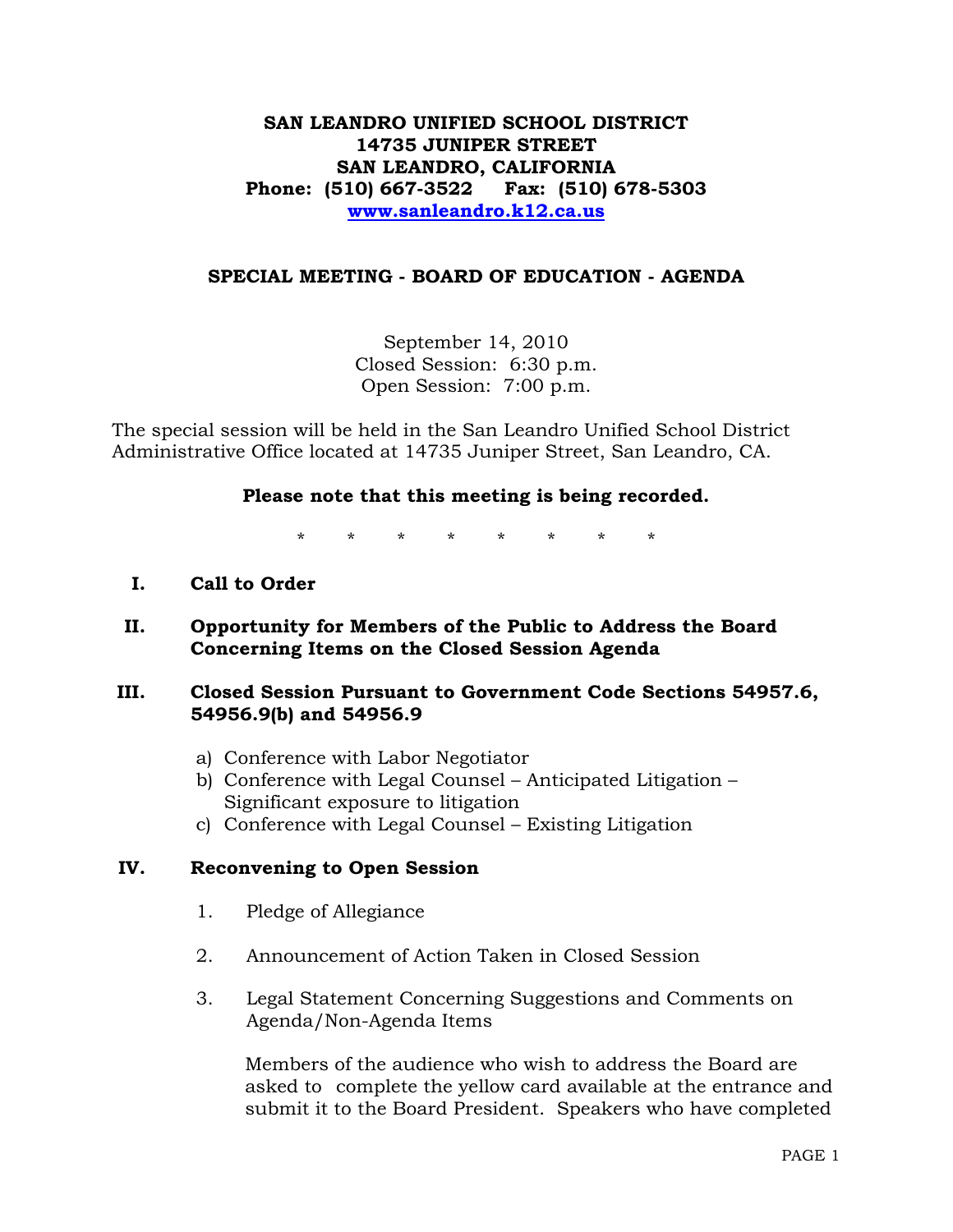# **SAN LEANDRO UNIFIED SCHOOL DISTRICT 14735 JUNIPER STREET SAN LEANDRO, CALIFORNIA Phone: (510) 667-3522 Fax: (510) 678-5303 [www.sanleandro.k12.ca.us](http://www.sanleandro.k12.ca.us/)**

# **SPECIAL MEETING - BOARD OF EDUCATION - AGENDA**

September 14, 2010 Closed Session: 6:30 p.m. Open Session: 7:00 p.m.

The special session will be held in the San Leandro Unified School District Administrative Office located at 14735 Juniper Street, San Leandro, CA.

### **Please note that this meeting is being recorded.**

\* \* \* \* \* \* \* \*

- **I. Call to Order**
- **II. Opportunity for Members of the Public to Address the Board Concerning Items on the Closed Session Agenda**

# **III. Closed Session Pursuant to Government Code Sections 54957.6, 54956.9(b) and 54956.9**

- a) Conference with Labor Negotiator
- b) Conference with Legal Counsel Anticipated Litigation Significant exposure to litigation
- c) Conference with Legal Counsel Existing Litigation

### **IV. Reconvening to Open Session**

- 1. Pledge of Allegiance
- 2. Announcement of Action Taken in Closed Session
- 3. Legal Statement Concerning Suggestions and Comments on Agenda/Non-Agenda Items

 Members of the audience who wish to address the Board are asked to complete the yellow card available at the entrance and submit it to the Board President. Speakers who have completed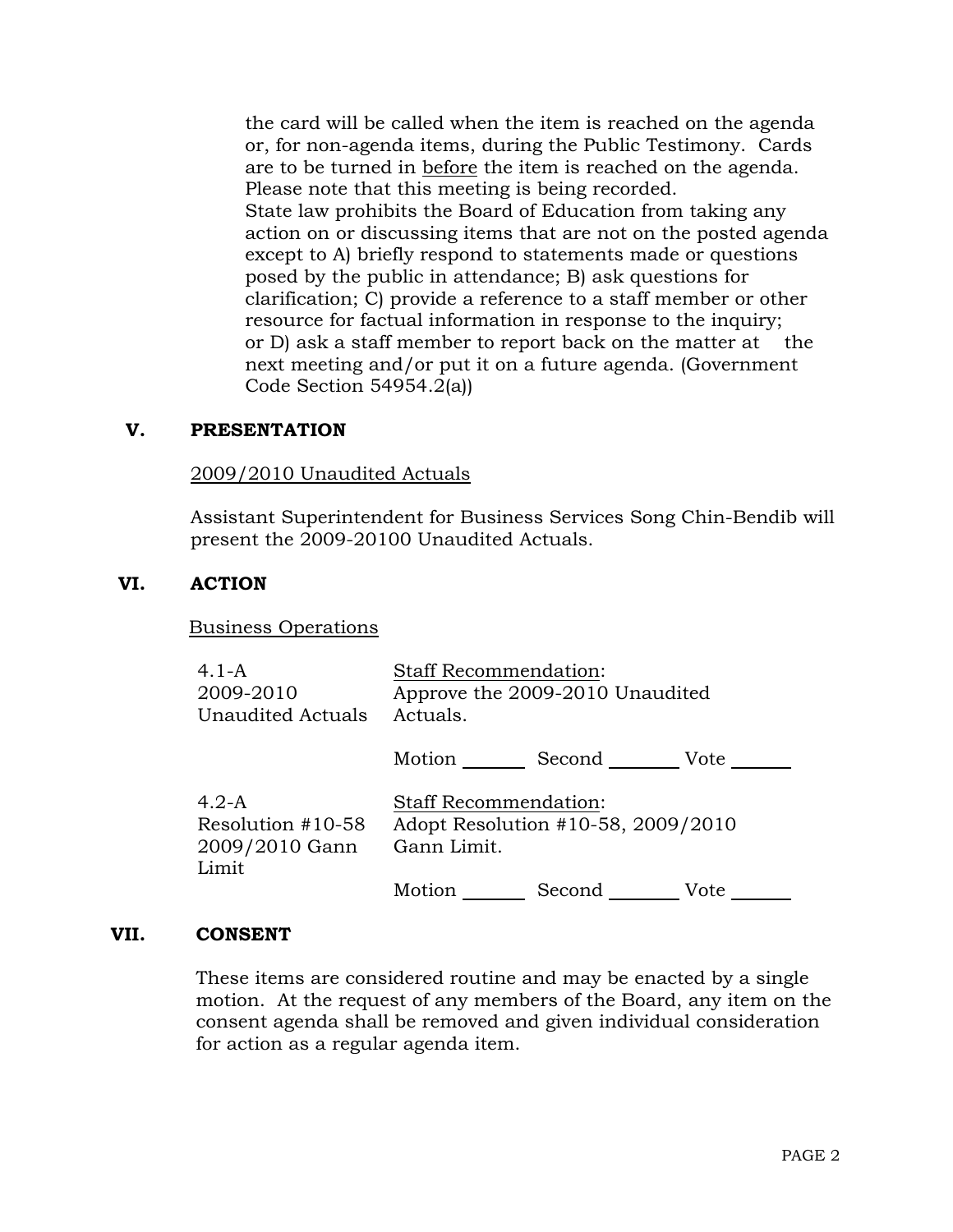the card will be called when the item is reached on the agenda or, for non-agenda items, during the Public Testimony. Cards are to be turned in before the item is reached on the agenda. Please note that this meeting is being recorded. State law prohibits the Board of Education from taking any action on or discussing items that are not on the posted agenda except to A) briefly respond to statements made or questions posed by the public in attendance; B) ask questions for clarification; C) provide a reference to a staff member or other resource for factual information in response to the inquiry; or D) ask a staff member to report back on the matter at the next meeting and/or put it on a future agenda. (Government Code Section 54954.2(a))

# **V. PRESENTATION**

# 2009/2010 Unaudited Actuals

Assistant Superintendent for Business Services Song Chin-Bendib will present the 2009-20100 Unaudited Actuals.

### **VI. ACTION**

### Business Operations

| 4.1-A<br>2009-2010<br><b>Unaudited Actuals</b>          | <b>Staff Recommendation:</b><br>Approve the 2009-2010 Unaudited<br>Actuals.       |  |  |
|---------------------------------------------------------|-----------------------------------------------------------------------------------|--|--|
|                                                         | Motion Second Vote                                                                |  |  |
| $4.2-A$<br>Resolution #10-58<br>2009/2010 Gann<br>Limit | <b>Staff Recommendation:</b><br>Adopt Resolution #10-58, 2009/2010<br>Gann Limit. |  |  |
|                                                         | Motion<br>Second<br>Vote                                                          |  |  |

#### **VII. CONSENT**

These items are considered routine and may be enacted by a single motion. At the request of any members of the Board, any item on the consent agenda shall be removed and given individual consideration for action as a regular agenda item.